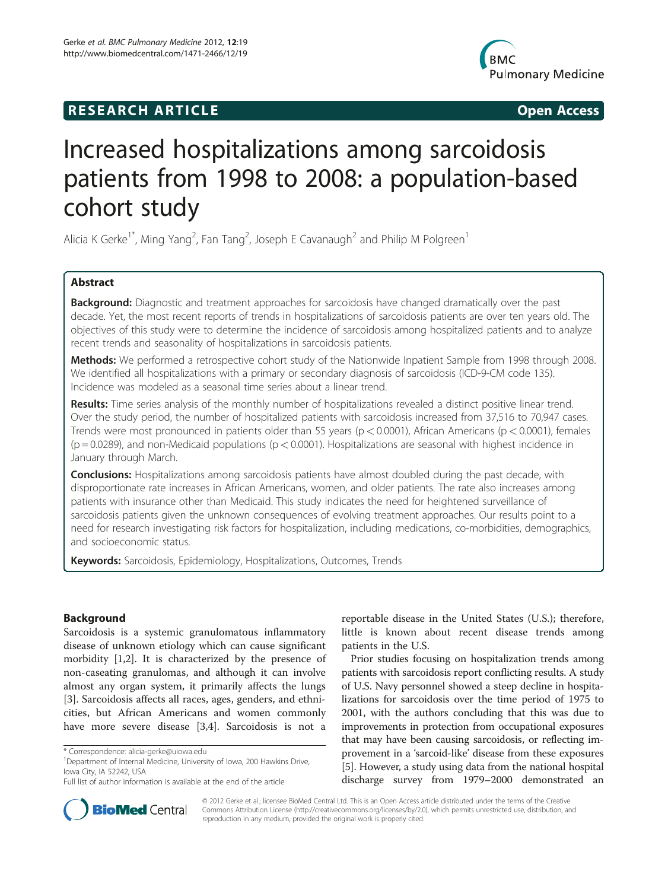## **RESEARCH ARTICLE Example 2014 12:30 The SEAR CHA RESEARCH ARTICLE**



# Increased hospitalizations among sarcoidosis patients from 1998 to 2008: a population-based cohort study

Alicia K Gerke<sup>1\*</sup>, Ming Yang<sup>2</sup>, Fan Tang<sup>2</sup>, Joseph E Cavanaugh<sup>2</sup> and Philip M Polgreen<sup>1</sup>

## Abstract

Background: Diagnostic and treatment approaches for sarcoidosis have changed dramatically over the past decade. Yet, the most recent reports of trends in hospitalizations of sarcoidosis patients are over ten years old. The objectives of this study were to determine the incidence of sarcoidosis among hospitalized patients and to analyze recent trends and seasonality of hospitalizations in sarcoidosis patients.

Methods: We performed a retrospective cohort study of the Nationwide Inpatient Sample from 1998 through 2008. We identified all hospitalizations with a primary or secondary diagnosis of sarcoidosis (ICD-9-CM code 135). Incidence was modeled as a seasonal time series about a linear trend.

Results: Time series analysis of the monthly number of hospitalizations revealed a distinct positive linear trend. Over the study period, the number of hospitalized patients with sarcoidosis increased from 37,516 to 70,947 cases. Trends were most pronounced in patients older than 55 years ( $p < 0.0001$ ), African Americans ( $p < 0.0001$ ), females  $(p = 0.0289)$ , and non-Medicaid populations  $(p < 0.0001)$ . Hospitalizations are seasonal with highest incidence in January through March.

**Conclusions:** Hospitalizations among sarcoidosis patients have almost doubled during the past decade, with disproportionate rate increases in African Americans, women, and older patients. The rate also increases among patients with insurance other than Medicaid. This study indicates the need for heightened surveillance of sarcoidosis patients given the unknown consequences of evolving treatment approaches. Our results point to a need for research investigating risk factors for hospitalization, including medications, co-morbidities, demographics, and socioeconomic status.

Keywords: Sarcoidosis, Epidemiology, Hospitalizations, Outcomes, Trends

## Background

Sarcoidosis is a systemic granulomatous inflammatory disease of unknown etiology which can cause significant morbidity [[1,2\]](#page-5-0). It is characterized by the presence of non-caseating granulomas, and although it can involve almost any organ system, it primarily affects the lungs [[3\]](#page-5-0). Sarcoidosis affects all races, ages, genders, and ethnicities, but African Americans and women commonly have more severe disease [\[3,4](#page-5-0)]. Sarcoidosis is not a

reportable disease in the United States (U.S.); therefore, little is known about recent disease trends among patients in the U.S.

Prior studies focusing on hospitalization trends among patients with sarcoidosis report conflicting results. A study of U.S. Navy personnel showed a steep decline in hospitalizations for sarcoidosis over the time period of 1975 to 2001, with the authors concluding that this was due to improvements in protection from occupational exposures that may have been causing sarcoidosis, or reflecting improvement in a 'sarcoid-like' disease from these exposures [[5\]](#page-5-0). However, a study using data from the national hospital discharge survey from 1979–2000 demonstrated an



© 2012 Gerke et al.; licensee BioMed Central Ltd. This is an Open Access article distributed under the terms of the Creative Commons Attribution License [\(http://creativecommons.org/licenses/by/2.0\)](http://creativecommons.org/licenses/by/2.0), which permits unrestricted use, distribution, and reproduction in any medium, provided the original work is properly cited.

<sup>\*</sup> Correspondence: [alicia-gerke@uiowa.edu](mailto:alicia-gerke@uiowa.edu) <sup>1</sup>

<sup>&</sup>lt;sup>1</sup>Department of Internal Medicine, University of Iowa, 200 Hawkins Drive, Iowa City, IA 52242, USA

Full list of author information is available at the end of the article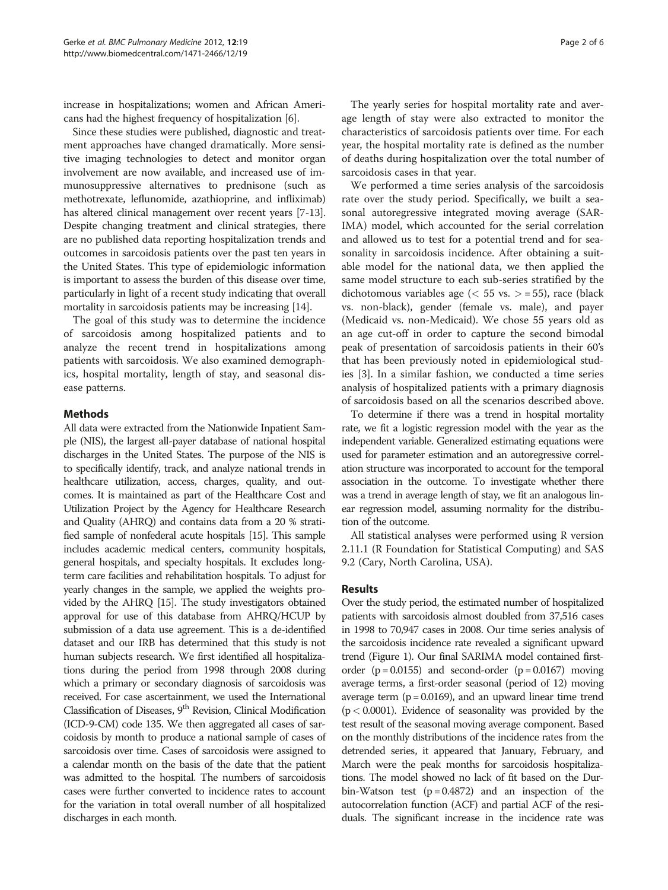increase in hospitalizations; women and African Americans had the highest frequency of hospitalization [\[6\]](#page-5-0).

Since these studies were published, diagnostic and treatment approaches have changed dramatically. More sensitive imaging technologies to detect and monitor organ involvement are now available, and increased use of immunosuppressive alternatives to prednisone (such as methotrexate, leflunomide, azathioprine, and infliximab) has altered clinical management over recent years [\[7](#page-5-0)-[13](#page-5-0)]. Despite changing treatment and clinical strategies, there are no published data reporting hospitalization trends and outcomes in sarcoidosis patients over the past ten years in the United States. This type of epidemiologic information is important to assess the burden of this disease over time, particularly in light of a recent study indicating that overall mortality in sarcoidosis patients may be increasing [\[14](#page-5-0)].

The goal of this study was to determine the incidence of sarcoidosis among hospitalized patients and to analyze the recent trend in hospitalizations among patients with sarcoidosis. We also examined demographics, hospital mortality, length of stay, and seasonal disease patterns.

## Methods

All data were extracted from the Nationwide Inpatient Sample (NIS), the largest all-payer database of national hospital discharges in the United States. The purpose of the NIS is to specifically identify, track, and analyze national trends in healthcare utilization, access, charges, quality, and outcomes. It is maintained as part of the Healthcare Cost and Utilization Project by the Agency for Healthcare Research and Quality (AHRQ) and contains data from a 20 % stratified sample of nonfederal acute hospitals [\[15](#page-5-0)]. This sample includes academic medical centers, community hospitals, general hospitals, and specialty hospitals. It excludes longterm care facilities and rehabilitation hospitals. To adjust for yearly changes in the sample, we applied the weights provided by the AHRQ [\[15](#page-5-0)]. The study investigators obtained approval for use of this database from AHRQ/HCUP by submission of a data use agreement. This is a de-identified dataset and our IRB has determined that this study is not human subjects research. We first identified all hospitalizations during the period from 1998 through 2008 during which a primary or secondary diagnosis of sarcoidosis was received. For case ascertainment, we used the International Classification of Diseases, 9<sup>th</sup> Revision, Clinical Modification (ICD-9-CM) code 135. We then aggregated all cases of sarcoidosis by month to produce a national sample of cases of sarcoidosis over time. Cases of sarcoidosis were assigned to a calendar month on the basis of the date that the patient was admitted to the hospital. The numbers of sarcoidosis cases were further converted to incidence rates to account for the variation in total overall number of all hospitalized discharges in each month.

The yearly series for hospital mortality rate and average length of stay were also extracted to monitor the characteristics of sarcoidosis patients over time. For each year, the hospital mortality rate is defined as the number of deaths during hospitalization over the total number of sarcoidosis cases in that year.

We performed a time series analysis of the sarcoidosis rate over the study period. Specifically, we built a seasonal autoregressive integrated moving average (SAR-IMA) model, which accounted for the serial correlation and allowed us to test for a potential trend and for seasonality in sarcoidosis incidence. After obtaining a suitable model for the national data, we then applied the same model structure to each sub-series stratified by the dichotomous variables age ( $\lt$  55 vs.  $>$  = 55), race (black vs. non-black), gender (female vs. male), and payer (Medicaid vs. non-Medicaid). We chose 55 years old as an age cut-off in order to capture the second bimodal peak of presentation of sarcoidosis patients in their 60's that has been previously noted in epidemiological studies [\[3](#page-5-0)]. In a similar fashion, we conducted a time series analysis of hospitalized patients with a primary diagnosis of sarcoidosis based on all the scenarios described above.

To determine if there was a trend in hospital mortality rate, we fit a logistic regression model with the year as the independent variable. Generalized estimating equations were used for parameter estimation and an autoregressive correlation structure was incorporated to account for the temporal association in the outcome. To investigate whether there was a trend in average length of stay, we fit an analogous linear regression model, assuming normality for the distribution of the outcome.

All statistical analyses were performed using R version 2.11.1 (R Foundation for Statistical Computing) and SAS 9.2 (Cary, North Carolina, USA).

## Results

Over the study period, the estimated number of hospitalized patients with sarcoidosis almost doubled from 37,516 cases in 1998 to 70,947 cases in 2008. Our time series analysis of the sarcoidosis incidence rate revealed a significant upward trend (Figure [1](#page-2-0)). Our final SARIMA model contained firstorder  $(p = 0.0155)$  and second-order  $(p = 0.0167)$  moving average terms, a first-order seasonal (period of 12) moving average term  $(p = 0.0169)$ , and an upward linear time trend  $(p < 0.0001)$ . Evidence of seasonality was provided by the test result of the seasonal moving average component. Based on the monthly distributions of the incidence rates from the detrended series, it appeared that January, February, and March were the peak months for sarcoidosis hospitalizations. The model showed no lack of fit based on the Durbin-Watson test  $(p = 0.4872)$  and an inspection of the autocorrelation function (ACF) and partial ACF of the residuals. The significant increase in the incidence rate was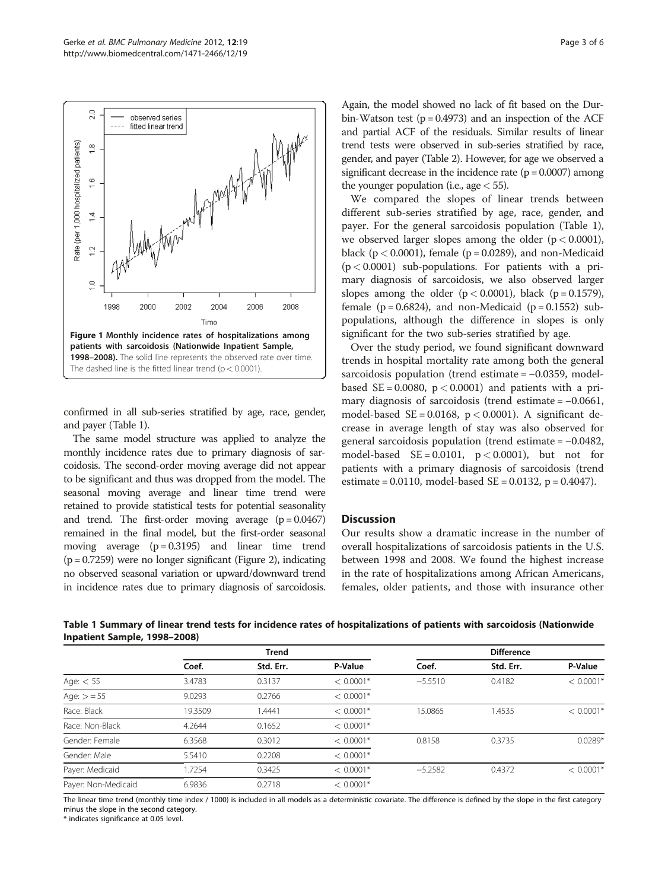<span id="page-2-0"></span>

confirmed in all sub-series stratified by age, race, gender, and payer (Table 1).

The same model structure was applied to analyze the monthly incidence rates due to primary diagnosis of sarcoidosis. The second-order moving average did not appear to be significant and thus was dropped from the model. The seasonal moving average and linear time trend were retained to provide statistical tests for potential seasonality and trend. The first-order moving average  $(p = 0.0467)$ remained in the final model, but the first-order seasonal moving average  $(p = 0.3195)$  and linear time trend  $(p = 0.7259)$  were no longer significant (Figure [2](#page-3-0)), indicating no observed seasonal variation or upward/downward trend in incidence rates due to primary diagnosis of sarcoidosis.

Again, the model showed no lack of fit based on the Durbin-Watson test  $(p = 0.4973)$  and an inspection of the ACF and partial ACF of the residuals. Similar results of linear trend tests were observed in sub-series stratified by race, gender, and payer (Table [2](#page-3-0)). However, for age we observed a significant decrease in the incidence rate  $(p = 0.0007)$  among the younger population (i.e., age  $<$  55).

We compared the slopes of linear trends between different sub-series stratified by age, race, gender, and payer. For the general sarcoidosis population (Table 1), we observed larger slopes among the older  $(p < 0.0001)$ , black ( $p < 0.0001$ ), female ( $p = 0.0289$ ), and non-Medicaid  $(p < 0.0001)$  sub-populations. For patients with a primary diagnosis of sarcoidosis, we also observed larger slopes among the older  $(p < 0.0001)$ , black  $(p = 0.1579)$ , female  $(p = 0.6824)$ , and non-Medicaid  $(p = 0.1552)$  subpopulations, although the difference in slopes is only significant for the two sub-series stratified by age.

Over the study period, we found significant downward trends in hospital mortality rate among both the general sarcoidosis population (trend estimate = −0.0359, modelbased  $SE = 0.0080$ ,  $p < 0.0001$ ) and patients with a primary diagnosis of sarcoidosis (trend estimate = −0.0661, model-based  $SE = 0.0168$ ,  $p < 0.0001$ ). A significant decrease in average length of stay was also observed for general sarcoidosis population (trend estimate = −0.0482, model-based  $SE = 0.0101$ ,  $p < 0.0001$ ), but not for patients with a primary diagnosis of sarcoidosis (trend estimate = 0.0110, model-based SE = 0.0132, p = 0.4047).

## **Discussion**

Our results show a dramatic increase in the number of overall hospitalizations of sarcoidosis patients in the U.S. between 1998 and 2008. We found the highest increase in the rate of hospitalizations among African Americans, females, older patients, and those with insurance other

| Table 1 Summary of linear trend tests for incidence rates of hospitalizations of patients with sarcoidosis (Nationwide |  |  |  |
|------------------------------------------------------------------------------------------------------------------------|--|--|--|
| Inpatient Sample, 1998–2008)                                                                                           |  |  |  |

|                     |         | <b>Trend</b> |             |           | <b>Difference</b> |             |
|---------------------|---------|--------------|-------------|-----------|-------------------|-------------|
|                     | Coef.   | Std. Err.    | P-Value     | Coef.     | Std. Err.         | P-Value     |
| Age: $< 55$         | 3.4783  | 0.3137       | $< 0.0001*$ | $-5.5510$ | 0.4182            | $< 0.0001*$ |
| Age: $> = 55$       | 9.0293  | 0.2766       | $< 0.0001*$ |           |                   |             |
| Race: Black         | 19.3509 | 1.4441       | $< 0.0001*$ | 15.0865   | 1.4535            | $< 0.0001*$ |
| Race: Non-Black     | 4.2644  | 0.1652       | $< 0.0001*$ |           |                   |             |
| Gender: Female      | 6.3568  | 0.3012       | $< 0.0001*$ | 0.8158    | 0.3735            | $0.0289*$   |
| Gender: Male        | 5.5410  | 0.2208       | $< 0.0001*$ |           |                   |             |
| Payer: Medicaid     | 1.7254  | 0.3425       | $< 0.0001*$ | $-5.2582$ | 0.4372            | $< 0.0001*$ |
| Payer: Non-Medicaid | 6.9836  | 0.2718       | $< 0.0001*$ |           |                   |             |

The linear time trend (monthly time index / 1000) is included in all models as a deterministic covariate. The difference is defined by the slope in the first category minus the slope in the second category.

\* indicates significance at 0.05 level.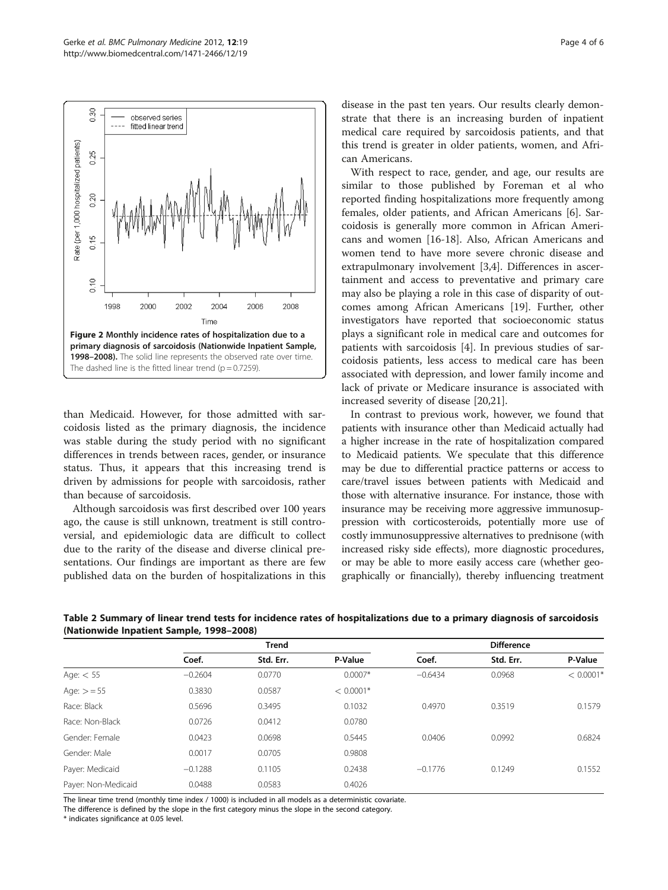<span id="page-3-0"></span>

than Medicaid. However, for those admitted with sarcoidosis listed as the primary diagnosis, the incidence was stable during the study period with no significant differences in trends between races, gender, or insurance status. Thus, it appears that this increasing trend is driven by admissions for people with sarcoidosis, rather than because of sarcoidosis.

Although sarcoidosis was first described over 100 years ago, the cause is still unknown, treatment is still controversial, and epidemiologic data are difficult to collect due to the rarity of the disease and diverse clinical presentations. Our findings are important as there are few published data on the burden of hospitalizations in this

disease in the past ten years. Our results clearly demonstrate that there is an increasing burden of inpatient medical care required by sarcoidosis patients, and that this trend is greater in older patients, women, and African Americans.

With respect to race, gender, and age, our results are similar to those published by Foreman et al who reported finding hospitalizations more frequently among females, older patients, and African Americans [\[6\]](#page-5-0). Sarcoidosis is generally more common in African Americans and women [[16](#page-5-0)-[18\]](#page-5-0). Also, African Americans and women tend to have more severe chronic disease and extrapulmonary involvement [\[3,4\]](#page-5-0). Differences in ascertainment and access to preventative and primary care may also be playing a role in this case of disparity of outcomes among African Americans [\[19](#page-5-0)]. Further, other investigators have reported that socioeconomic status plays a significant role in medical care and outcomes for patients with sarcoidosis [\[4\]](#page-5-0). In previous studies of sarcoidosis patients, less access to medical care has been associated with depression, and lower family income and lack of private or Medicare insurance is associated with increased severity of disease [[20](#page-5-0),[21](#page-5-0)].

In contrast to previous work, however, we found that patients with insurance other than Medicaid actually had a higher increase in the rate of hospitalization compared to Medicaid patients. We speculate that this difference may be due to differential practice patterns or access to care/travel issues between patients with Medicaid and those with alternative insurance. For instance, those with insurance may be receiving more aggressive immunosuppression with corticosteroids, potentially more use of costly immunosuppressive alternatives to prednisone (with increased risky side effects), more diagnostic procedures, or may be able to more easily access care (whether geographically or financially), thereby influencing treatment

|                     |           | <b>Trend</b> |             |           | <b>Difference</b> |             |
|---------------------|-----------|--------------|-------------|-----------|-------------------|-------------|
|                     | Coef.     | Std. Err.    | P-Value     | Coef.     | Std. Err.         | P-Value     |
| Age: $< 55$         | $-0.2604$ | 0.0770       | $0.0007*$   | $-0.6434$ | 0.0968            | $< 0.0001*$ |
| Age: $> = 55$       | 0.3830    | 0.0587       | $< 0.0001*$ |           |                   |             |
| Race: Black         | 0.5696    | 0.3495       | 0.1032      | 0.4970    | 0.3519            | 0.1579      |
| Race: Non-Black     | 0.0726    | 0.0412       | 0.0780      |           |                   |             |
| Gender: Female      | 0.0423    | 0.0698       | 0.5445      | 0.0406    | 0.0992            | 0.6824      |
| Gender: Male        | 0.0017    | 0.0705       | 0.9808      |           |                   |             |
| Payer: Medicaid     | $-0.1288$ | 0.1105       | 0.2438      | $-0.1776$ | 0.1249            | 0.1552      |
| Payer: Non-Medicaid | 0.0488    | 0.0583       | 0.4026      |           |                   |             |

Table 2 Summary of linear trend tests for incidence rates of hospitalizations due to a primary diagnosis of sarcoidosis (Nationwide Inpatient Sample, 1998–2008)

The linear time trend (monthly time index / 1000) is included in all models as a deterministic covariate.

The difference is defined by the slope in the first category minus the slope in the second category.

\* indicates significance at 0.05 level.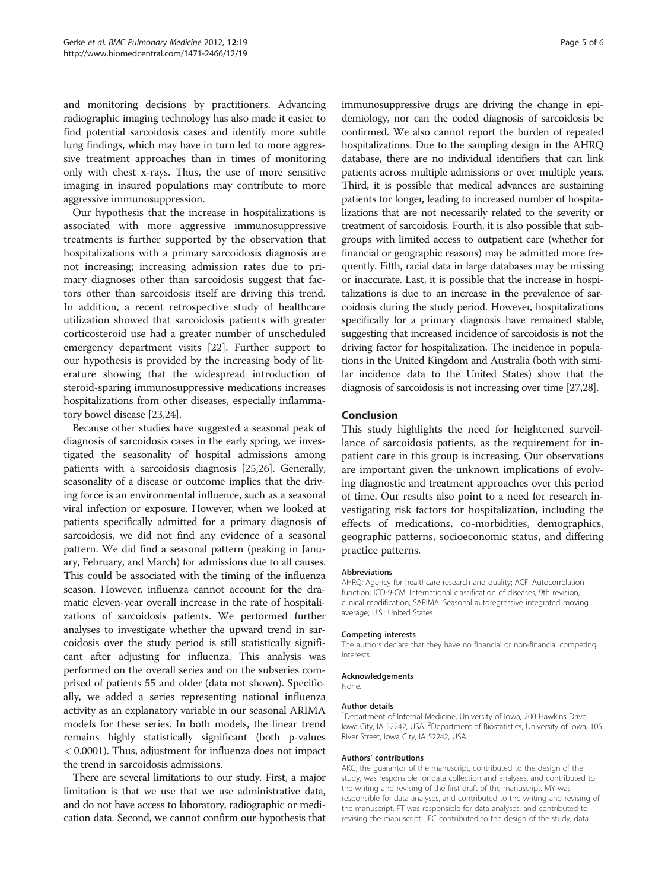and monitoring decisions by practitioners. Advancing radiographic imaging technology has also made it easier to find potential sarcoidosis cases and identify more subtle lung findings, which may have in turn led to more aggressive treatment approaches than in times of monitoring only with chest x-rays. Thus, the use of more sensitive imaging in insured populations may contribute to more aggressive immunosuppression.

Our hypothesis that the increase in hospitalizations is associated with more aggressive immunosuppressive treatments is further supported by the observation that hospitalizations with a primary sarcoidosis diagnosis are not increasing; increasing admission rates due to primary diagnoses other than sarcoidosis suggest that factors other than sarcoidosis itself are driving this trend. In addition, a recent retrospective study of healthcare utilization showed that sarcoidosis patients with greater corticosteroid use had a greater number of unscheduled emergency department visits [\[22](#page-5-0)]. Further support to our hypothesis is provided by the increasing body of literature showing that the widespread introduction of steroid-sparing immunosuppressive medications increases hospitalizations from other diseases, especially inflammatory bowel disease [\[23,24\]](#page-5-0).

Because other studies have suggested a seasonal peak of diagnosis of sarcoidosis cases in the early spring, we investigated the seasonality of hospital admissions among patients with a sarcoidosis diagnosis [[25,26](#page-5-0)]. Generally, seasonality of a disease or outcome implies that the driving force is an environmental influence, such as a seasonal viral infection or exposure. However, when we looked at patients specifically admitted for a primary diagnosis of sarcoidosis, we did not find any evidence of a seasonal pattern. We did find a seasonal pattern (peaking in January, February, and March) for admissions due to all causes. This could be associated with the timing of the influenza season. However, influenza cannot account for the dramatic eleven-year overall increase in the rate of hospitalizations of sarcoidosis patients. We performed further analyses to investigate whether the upward trend in sarcoidosis over the study period is still statistically significant after adjusting for influenza. This analysis was performed on the overall series and on the subseries comprised of patients 55 and older (data not shown). Specifically, we added a series representing national influenza activity as an explanatory variable in our seasonal ARIMA models for these series. In both models, the linear trend remains highly statistically significant (both p-values < 0.0001). Thus, adjustment for influenza does not impact the trend in sarcoidosis admissions.

There are several limitations to our study. First, a major limitation is that we use that we use administrative data, and do not have access to laboratory, radiographic or medication data. Second, we cannot confirm our hypothesis that immunosuppressive drugs are driving the change in epidemiology, nor can the coded diagnosis of sarcoidosis be confirmed. We also cannot report the burden of repeated hospitalizations. Due to the sampling design in the AHRQ database, there are no individual identifiers that can link patients across multiple admissions or over multiple years. Third, it is possible that medical advances are sustaining patients for longer, leading to increased number of hospitalizations that are not necessarily related to the severity or treatment of sarcoidosis. Fourth, it is also possible that subgroups with limited access to outpatient care (whether for financial or geographic reasons) may be admitted more frequently. Fifth, racial data in large databases may be missing or inaccurate. Last, it is possible that the increase in hospitalizations is due to an increase in the prevalence of sarcoidosis during the study period. However, hospitalizations specifically for a primary diagnosis have remained stable, suggesting that increased incidence of sarcoidosis is not the driving factor for hospitalization. The incidence in populations in the United Kingdom and Australia (both with similar incidence data to the United States) show that the diagnosis of sarcoidosis is not increasing over time [\[27,28\]](#page-5-0).

### Conclusion

This study highlights the need for heightened surveillance of sarcoidosis patients, as the requirement for inpatient care in this group is increasing. Our observations are important given the unknown implications of evolving diagnostic and treatment approaches over this period of time. Our results also point to a need for research investigating risk factors for hospitalization, including the effects of medications, co-morbidities, demographics, geographic patterns, socioeconomic status, and differing practice patterns.

#### Abbreviations

AHRQ: Agency for healthcare research and quality; ACF: Autocorrelation function; ICD-9-CM: International classification of diseases, 9th revision, clinical modification; SARIMA: Seasonal autoregressive integrated moving average; U.S.: United States.

#### Competing interests

The authors declare that they have no financial or non-financial competing interests.

#### Acknowledgements

None.

#### Author details

<sup>1</sup>Department of Internal Medicine, University of Iowa, 200 Hawkins Drive lowa City, IA 52242, USA. <sup>2</sup>Department of Biostatistics, University of Iowa, 105 River Street, Iowa City, IA 52242, USA.

#### Authors' contributions

AKG, the guarantor of the manuscript, contributed to the design of the study, was responsible for data collection and analyses, and contributed to the writing and revising of the first draft of the manuscript. MY was responsible for data analyses, and contributed to the writing and revising of the manuscript. FT was responsible for data analyses, and contributed to revising the manuscript. JEC contributed to the design of the study, data